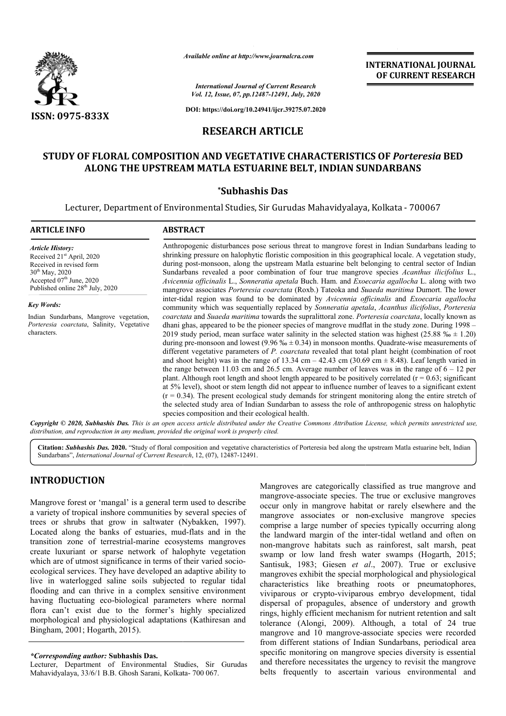

*Available online at http://www.journalcra.com*

*International Journal of Current Research Vol. 12, Issue, 07, pp.12487-12491, July, 2020*

**DOI: https://doi.org/10.24941/ijcr.39275.07.2020**

### **RESEARCH ARTICLE**

## **STUDY OF FLORAL COMPOSITION AND VEGETATIVE CHARACTERISTICS OF STUDY COMPOSITION AND** *Porteresia* **BED ALONG THE UPSTREAM MATLA ESTUARINE BELT, INDIAN SUNDARBANS MATLA ESTUARINE**

#### **\*Subhashis Das**

Lecturer, Department of Environmental Studies, Sir Gurudas Mahavidyalaya, Kolkata - 700067

#### **ARTICLE INFO ABSTRACT**

*Article History:* Received 21<sup>st</sup> April, 2020 Received in revised form 30th May, 2020 Accepted  $07<sup>th</sup>$  June, 2020 Published online 28<sup>th</sup> July, 2020

*Key Words:*

Indian Sundarbans, Mangrove vegetation, *Porteresia coarctata*, Salinity, Vegetative characters.

Anthropogenic disturbances pose serious threat to mangrove forest in Indian Sundarbans leading to shrinking pressure on halophytic floristic composition in this geographical locale. A vegetation study, during post-monsoon, along the upstream Matla estuarine belt belonging to central sector of Indian Sundarbans revealed a poor combination of four true mangrove species Acanthus ilicifolius L., *Avicennia officinalis* L., *Sonneratia apetala* Buch. Ham. and *Exoecaria agallocha* L. along with two mangrove associates *Porteresia coarctata* (Roxb.) Tateoka and *Suaeda maritima* Dumort. The lower inter-tidal region was found to be dominated by Avicennia officinalis and *Exoecaria agallocha* community which was sequentially replaced by *Sonneratia apetala Sonneratia apetala*, *Acanthus ilicifolius*, *Porteresia coarctata* and *Suaeda maritima* towards the supralittoral zone. *Porteresia coarctata* , locally known as dhani ghas, appeared to be the pioneer species of mangrove mudflat in the study zone. During 1998 – 2019 study period, mean surface water salinity in the selected station was highest  $(25.88\% \div 1.20)$ 2019 study period, mean surface water salinity in the selected station was highest (25.88 ‰  $\pm$  1.20) during pre-monsoon and lowest (9.96 ‰  $\pm$  0.34) in monsoon months. Quadrate-wise measurements of different vegetative parameters of *P. coarctata* revealed that total plant height (combination of root and shoot height) was in the range of 13.34 cm  $-$  42.43 cm (30.69 cm  $\pm$  8.48). Leaf length varied in the range between  $11.03$  cm and  $26.5$  cm. Average number of leaves was in the range of  $6 - 12$  per plant. Although root length and shoot length appeared to be positively correlated  $(r = 0.63)$ ; significant at 5% level), shoot or stem length did not appear to influence number of leaves to a significant extent  $(r = 0.34)$ . The present ecological study demands for stringent monitoring along the entire stretch of the sele selected study area of Indian Sundarban to assess the role of anthropogenic stress on halophytic species composition and their ecological health. Anthropogenic disturbances pose serious threat to mangrove forest in Indian Sundarbans leading to shrinking pressure on halophytic floristic composition in this geographical locale. A vegetation study, during post-monsoon, plant. Although root length and shoot length appeared to be positively correlated  $(r = 0.63$ ; sign<br>at 5% level), shoot or stem length did not appear to influence number of leaves to a significant<br> $(r = 0.34)$ . The present ec

**INTERNATIONAL JOURNAL OF CURRENT RESEARCH**

Copyright © 2020, Subhashis Das. This is an open access article distributed under the Creative Commons Attribution License, which permits unrestricted use, *distribution, and reproduction in any medium, provided the original work is properly cited.*

Citation: Subhashis Das. 2020. "Study of floral composition and vegetative characteristics of Porteresia bed along the upstream Matla estuarine belt, Indian Sundarbans", *International Journal of Current Research* , 12, (07), 12487-12491.

## **INTRODUCTION**

Mangrove forest or 'mangal' is a general term used to describe a variety of tropical inshore communities by several species of trees or shrubs that grow in saltwater (Nybakken, 1997). Located along the banks of estuaries, mud-flats and in the transition zone of terrestrial-marine ecosystems mangroves create luxuriant or sparse network of halophyte vegetation which are of utmost significance in terms of their varied socio ecological services. They have developed an adaptive ability to live in waterlogged saline soils subjected to regular tidal flooding and can thrive in a complex sensitive environment having fluctuating eco-biological parameters where normal flora can't exist due to the former's highly specialized morphological and physiological adaptations Bingham, 2001; Hogarth, 2015). marine ecosystems mangroves<br>twork of halophyte vegetation<br>ce in terms of their varied sociorvices. They have developed an adaptive ability to<br>erlogged saline soils subjected to regular tidal<br>1 can thrive in a complex sensitive environment<br>uating eco-biological parameters where normal<br>exist due to the former's hi Mangroves are categorically classified as true mangrove and mangrove-associate species. The true or exclusive mangroves occur only in mangrove habitat or rarely elsewhere and the Mangroves are categorically classified as true mangrove and mangrove-associate species. The true or exclusive mangroves occur only in mangrove habitat or rarely elsewhere and the mangrove associates or non-exclusive mangro comprise a large number of species typically occurring along comprise a large number of species typically occurring along<br>the landward margin of the inter-tidal wetland and often on non-mangrove habitats such as rainforest, salt marsh, peat non-mangrove habitats such as rainforest, salt marsh, peat<br>swamp or low land fresh water swamps (Hogarth, 2015; Santisuk, 1983; Giesen *et al* ., 2007). True or exclusive mangroves exhibit the special morphological and physiological characteristics like breathing roots or pneumatophores, viviparous or crypto-viviparous embryo development, tidal dispersal of propagules, absence of understory and growth rings, highly efficient mechanism for nutrient retention and salt tolerance (Alongi, 2009). Although, a total of 24 true mangrove and 10 mangrove-associate species were recorded from different stations of Indian Sundarbans, periodical are specific monitoring on mangrove species diversity is essential and therefore necessitates the urgency to revisit the mangrove belts frequently to ascertain various environmental and exhibit the special morphological and physiological<br>ics like breathing roots or pneumatophores,<br>or crypto-viviparous embryo development, tidal<br>f propagules, absence of understory and growth ngi, 2009). Although, a total of 24 true<br>10 mangrove-associate species were recorded<br>stations of Indian Sundarbans, periodical area **INTERNATIONAL JOURNAL TIONAL JOURNAL FORMATION CONTRIBUTE THE CONSUMPLEMENT INTERNATIONAL JOURNAL THE DESCRIPTING OF DETERNATION CONSUMPLEMENT INTERNATION (ASSEMBLEMENT INTERNATION CONSUMPLEMENT INTERNATION (ASSEMBLEMENT** 

*<sup>\*</sup>Corresponding author:* **Subhashis Das.**

Lecturer, Department of Environmental Studies, Sir Gurudas Mahavidyalaya, 33/6/1 B.B. Ghosh Sarani, Kolkata ni, Kolkata- 700 067.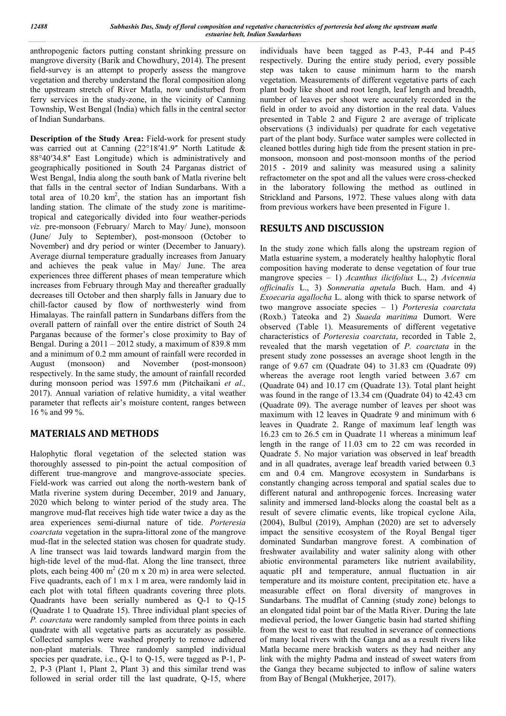anthropogenic factors putting constant shrinking pressure on mangrove diversity (Barik and Chowdhury, 2014). The present field-survey is an attempt to properly assess the mangrove vegetation and thereby understand the floral composition along the upstream stretch of River Matla, now undisturbed from ferry services in the study-zone, in the vicinity of Canning Township, West Bengal (India) which falls in the central sector of Indian Sundarbans.

**Description of the Study Area:** Field-work for present study was carried out at Canning (22°18'41.9" North Latitude & 88°40ʹ34.8ʺ East Longitude) which is administratively and geographically positioned in South 24 Parganas district of West Bengal, India along the south bank of Matla riverine belt that falls in the central sector of Indian Sundarbans. With a total area of  $10.20 \text{ km}^2$ , the station has an important fish landing station. The climate of the study zone is maritimetropical and categorically divided into four weather-periods *viz.* pre-monsoon (February/ March to May/ June), monsoon (June/ July to September), post-monsoon (October to November) and dry period or winter (December to January). Average diurnal temperature gradually increases from January and achieves the peak value in May/ June. The area experiences three different phases of mean temperature which increases from February through May and thereafter gradually decreases till October and then sharply falls in January due to chill-factor caused by flow of northwesterly wind from Himalayas. The rainfall pattern in Sundarbans differs from the overall pattern of rainfall over the entire district of South 24 Parganas because of the former's close proximity to Bay of Bengal. During a 2011 – 2012 study, a maximum of 839.8 mm and a minimum of 0.2 mm amount of rainfall were recorded in August (monsoon) and November (post-monsoon) respectively. In the same study, the amount of rainfall recorded during monsoon period was 1597.6 mm (Pitchaikani *et al.,* 2017). Annual variation of relative humidity, a vital weather parameter that reflects air's moisture content, ranges between 16 % and 99 %.

# **MATERIALS AND METHODS**

Halophytic floral vegetation of the selected station was thoroughly assessed to pin-point the actual composition of different true-mangrove and mangrove-associate species. Field-work was carried out along the north-western bank of Matla riverine system during December, 2019 and January, 2020 which belong to winter period of the study area. The mangrove mud-flat receives high tide water twice a day as the area experiences semi-diurnal nature of tide. *Porteresia coarctata* vegetation in the supra-littoral zone of the mangrove mud-flat in the selected station was chosen for quadrate study. A line transect was laid towards landward margin from the high-tide level of the mud-flat. Along the line transect, three plots, each being 400 m<sup>2</sup> (20 m x 20 m) in area were selected. Five quadrants, each of 1 m x 1 m area, were randomly laid in each plot with total fifteen quadrants covering three plots. Quadrants have been serially numbered as Q-1 to Q-15 (Quadrate 1 to Quadrate 15). Three individual plant species of *P. coarctata* were randomly sampled from three points in each quadrate with all vegetative parts as accurately as possible. Collected samples were washed properly to remove adhered non-plant materials. Three randomly sampled individual species per quadrate, i.e., Q-1 to Q-15, were tagged as P-1, P-2, P-3 (Plant 1, Plant 2, Plant 3) and this similar trend was followed in serial order till the last quadrate, Q-15, where

individuals have been tagged as P-43, P-44 and P-45 respectively. During the entire study period, every possible step was taken to cause minimum harm to the marsh vegetation. Measurements of different vegetative parts of each plant body like shoot and root length, leaf length and breadth, number of leaves per shoot were accurately recorded in the field in order to avoid any distortion in the real data. Values presented in Table 2 and Figure 2 are average of triplicate observations (3 individuals) per quadrate for each vegetative part of the plant body. Surface water samples were collected in cleaned bottles during high tide from the present station in premonsoon, monsoon and post-monsoon months of the period 2015 - 2019 and salinity was measured using a salinity refractometer on the spot and all the values were cross-checked in the laboratory following the method as outlined in Strickland and Parsons, 1972. These values along with data from previous workers have been presented in Figure 1.

## **RESULTS AND DISCUSSION**

In the study zone which falls along the upstream region of Matla estuarine system, a moderately healthy halophytic floral composition having moderate to dense vegetation of four true mangrove species – 1) *Acanthus ilicifolius* L., 2) *Avicennia officinalis* L., 3) *Sonneratia apetala* Buch. Ham. and 4) *Exoecaria agallocha* L. along with thick to sparse network of two mangrove associate species – 1) *Porteresia coarctata* (Roxb.) Tateoka and 2) *Suaeda maritima* Dumort. Were observed (Table 1). Measurements of different vegetative characteristics of *Porteresia coarctata*, recorded in Table 2, revealed that the marsh vegetation of *P. coarctata* in the present study zone possesses an average shoot length in the range of 9.67 cm (Quadrate 04) to 31.83 cm (Quadrate 09) whereas the average root length varied between 3.67 cm (Quadrate 04) and 10.17 cm (Quadrate 13). Total plant height was found in the range of 13.34 cm (Quadrate 04) to 42.43 cm (Quadrate 09). The average number of leaves per shoot was maximum with 12 leaves in Quadrate 9 and minimum with 6 leaves in Quadrate 2. Range of maximum leaf length was 16.23 cm to 26.5 cm in Quadrate 11 whereas a minimum leaf length in the range of 11.03 cm to 22 cm was recorded in Quadrate 5. No major variation was observed in leaf breadth and in all quadrates, average leaf breadth varied between 0.3 cm and 0.4 cm. Mangrove ecosystem in Sundarbans is constantly changing across temporal and spatial scales due to different natural and anthropogenic forces. Increasing water salinity and immersed land-blocks along the coastal belt as a result of severe climatic events, like tropical cyclone Aila, (2004), Bulbul (2019), Amphan (2020) are set to adversely impact the sensitive ecosystem of the Royal Bengal tiger dominated Sundarban mangrove forest. A combination of freshwater availability and water salinity along with other abiotic environmental parameters like nutrient availability, aquatic pH and temperature, annual fluctuation in air temperature and its moisture content, precipitation etc. have a measurable effect on floral diversity of mangroves in Sundarbans. The mudflat of Canning (study zone) belongs to an elongated tidal point bar of the Matla River. During the late medieval period, the lower Gangetic basin had started shifting from the west to east that resulted in severance of connections of many local rivers with the Ganga and as a result rivers like Matla became mere brackish waters as they had neither any link with the mighty Padma and instead of sweet waters from the Ganga they became subjected to inflow of saline waters from Bay of Bengal (Mukherjee, 2017).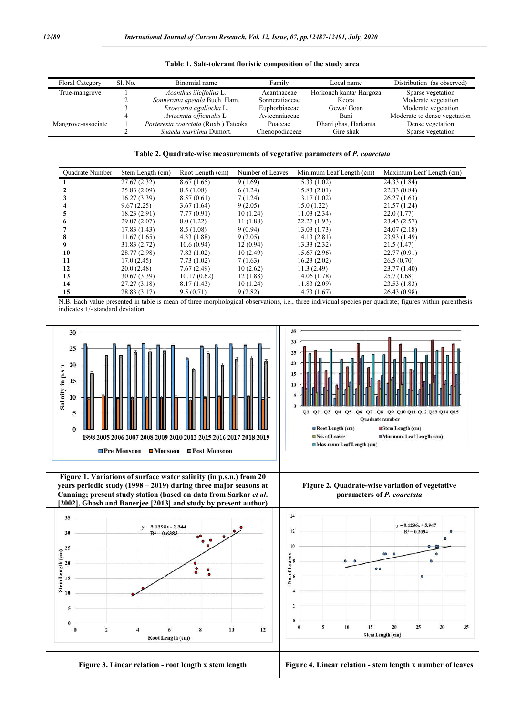| <b>Floral Category</b> | Sl. No. | Binomial name                        | Family         | Local name              | Distribution (as observed)   |
|------------------------|---------|--------------------------------------|----------------|-------------------------|------------------------------|
| True-mangrove          |         | Acanthus ilicifolius L.              | Acanthaceae    | Horkonch kanta/ Hargoza | Sparse vegetation            |
|                        |         | Sonneratia apetala Buch. Ham.        | Sonneratiaceae | Keora                   | Moderate vegetation          |
|                        |         | Exoecaria agallocha L.               | Euphorbiaceae  | Gewa/ Goan              | Moderate vegetation          |
|                        |         | Avicennia officinalis L.             | Avicenniaceae  | Bani                    | Moderate to dense vegetation |
| Mangrove-associate     |         | Porteresia coarctata (Roxb.) Tateoka | Poaceae        | Dhani ghas, Harkanta    | Dense vegetation             |
|                        |         | Suaeda maritima Dumort.              | Chenopodiaceae | Gire shak               | Sparse vegetation            |

**Table 1. Salt-tolerant floristic composition of the study area**

**Table 2. Quadrate Quadrate-wise measurements of vegetative parameters of** *P. coarctata*

| <b>Ouadrate Number</b> | Stem Length (cm) | Root Length (cm) | Number of Leaves | Minimum Leaf Length (cm) | Maximum Leaf Length (cm) |
|------------------------|------------------|------------------|------------------|--------------------------|--------------------------|
|                        | 27.67(2.32)      | 8.67(1.65)       | 9(1.69)          | 15.33(1.02)              | 24.33 (1.84)             |
|                        | 25.83(2.09)      | 8.5(1.08)        | 6(1.24)          | 15.83(2.01)              | 22.33(0.84)              |
|                        | 16.27(3.39)      | 8.57(0.61)       | 7(1.24)          | 13.17(1.02)              | 26.27(1.63)              |
|                        | 9.67(2.25)       | 3.67(1.64)       | 9(2.05)          | 15.0(1.22)               | 21.57(1.24)              |
| 5                      | 18.23(2.91)      | 7.77(0.91)       | 10(1.24)         | 11.03(2.34)              | 22.0(1.77)               |
| 6                      | 29.07 (2.07)     | 8.0(1.22)        | 11(1.88)         | 22.27(1.93)              | 23.43(2.57)              |
|                        | 17.83(1.43)      | 8.5(1.08)        | 9(0.94)          | 13.03(1.73)              | 24.07(2.18)              |
| 8                      | 11.67(1.65)      | 4.33(1.88)       | 9(2.05)          | 14.13(2.81)              | 23.93 (1.49)             |
| 9                      | 31.83 (2.72)     | 10.6(0.94)       | 12(0.94)         | 13.33(2.32)              | 21.5(1.47)               |
| 10                     | 28.77 (2.98)     | 7.83(1.02)       | 10(2.49)         | 15.67(2.96)              | 22.77(0.91)              |
| 11                     | 17.0(2.45)       | 7.73(1.02)       | 7(1.63)          | 16.23(2.02)              | 26.5(0.70)               |
| 12                     | 20.0(2.48)       | 7.67(2.49)       | 10(2.62)         | 11.3(2.49)               | 23.77 (1.40)             |
| 13                     | 30.67 (3.39)     | 10.17(0.62)      | 12(1.88)         | 14.06 (1.78)             | 25.7(1.68)               |
| 14                     | 27.27 (3.18)     | 8.17(1.43)       | 10(1.24)         | 11.83(2.09)              | 23.53(1.83)              |
| 15                     | 28.83 (3.17)     | 9.5(0.71)        | 9(2.82)          | 14.73 (1.67)             | 26.43(0.98)              |

N.B. Each value presented in table is mean of three morphological observations, i.e., three individual species per quadrate; figures within parenthesis indicates +/- standard deviation.

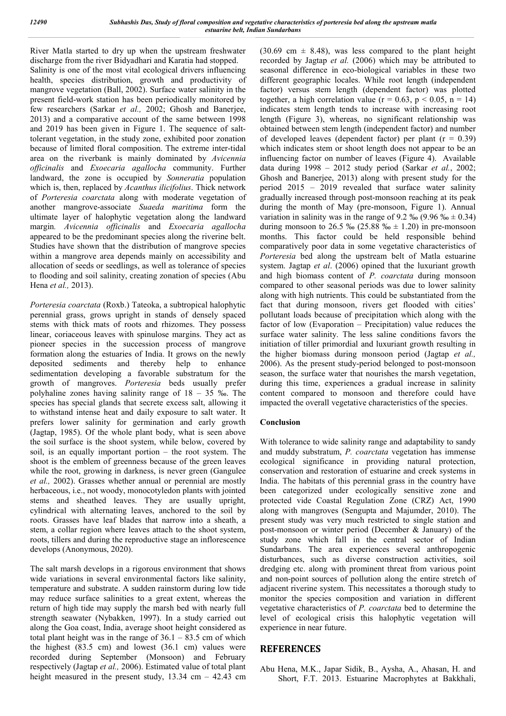River Matla started to dry up when the upstream freshwater discharge from the river Bidyadhari and Karatia had stopped.

Salinity is one of the most vital ecological drivers influencing health, species distribution, growth and productivity of mangrove vegetation (Ball, 2002). Surface water salinity in the present field-work station has been periodically monitored by few researchers (Sarkar *et al.,* 2002; Ghosh and Banerjee, 2013) and a comparative account of the same between 1998 and 2019 has been given in Figure 1. The sequence of salttolerant vegetation, in the study zone, exhibited poor zonation because of limited floral composition. The extreme inter-tidal area on the riverbank is mainly dominated by *Avicennia officinalis* and *Exoecaria agallocha* community. Further landward, the zone is occupied by *Sonneratia* population which is, then, replaced by *Acanthus ilicifolius*. Thick network of *Porteresia coarctata* along with moderate vegetation of another mangrove-associate *Suaeda maritima* form the ultimate layer of halophytic vegetation along the landward margin*. Avicennia officinalis* and *Exoecaria agallocha*  appeared to be the predominant species along the riverine belt. Studies have shown that the distribution of mangrove species within a mangrove area depends mainly on accessibility and allocation of seeds or seedlings, as well as tolerance of species to flooding and soil salinity, creating zonation of species (Abu Hena *et al.,* 2013).

*Porteresia coarctata* (Roxb.) Tateoka, a subtropical halophytic perennial grass, grows upright in stands of densely spaced stems with thick mats of roots and rhizomes. They possess linear, coriaceous leaves with spinulose margins. They act as pioneer species in the succession process of mangrove formation along the estuaries of India. It grows on the newly deposited sediments and thereby help to enhance sedimentation developing a favorable substratum for the growth of mangroves. *Porteresia* beds usually prefer polyhaline zones having salinity range of 18 – 35 ‰. The species has special glands that secrete excess salt, allowing it to withstand intense heat and daily exposure to salt water. It prefers lower salinity for germination and early growth (Jagtap, 1985). Of the whole plant body, what is seen above the soil surface is the shoot system, while below, covered by soil, is an equally important portion – the root system. The shoot is the emblem of greenness because of the green leaves while the root, growing in darkness, is never green (Gangulee) *et al.,* 2002). Grasses whether annual or perennial are mostly herbaceous, i.e., not woody, monocotyledon plants with jointed stems and sheathed leaves. They are usually upright, cylindrical with alternating leaves, anchored to the soil by roots. Grasses have leaf blades that narrow into a sheath, a stem, a collar region where leaves attach to the shoot system, roots, tillers and during the reproductive stage an inflorescence develops (Anonymous, 2020).

The salt marsh develops in a rigorous environment that shows wide variations in several environmental factors like salinity, temperature and substrate. A sudden rainstorm during low tide may reduce surface salinities to a great extent, whereas the return of high tide may supply the marsh bed with nearly full strength seawater (Nybakken, 1997). In a study carried out along the Goa coast, India, average shoot height considered as total plant height was in the range of  $36.1 - 83.5$  cm of which the highest  $(83.5 \text{ cm})$  and lowest  $(36.1 \text{ cm})$  values were recorded during September (Monsoon) and February respectively (Jagtap *et al.,* 2006). Estimated value of total plant height measured in the present study,  $13.34 \text{ cm} - 42.43 \text{ cm}$  (30.69 cm  $\pm$  8.48), was less compared to the plant height recorded by Jagtap *et al.* (2006) which may be attributed to seasonal difference in eco-biological variables in these two different geographic locales. While root length (independent factor) versus stem length (dependent factor) was plotted together, a high correlation value ( $r = 0.63$ ,  $p < 0.05$ ,  $n = 14$ ) indicates stem length tends to increase with increasing root length (Figure 3), whereas, no significant relationship was obtained between stem length (independent factor) and number of developed leaves (dependent factor) per plant  $(r = 0.39)$ which indicates stem or shoot length does not appear to be an influencing factor on number of leaves (Figure 4). Available data during 1998 – 2012 study period (Sarkar *et al.*, 2002; Ghosh and Banerjee, 2013) along with present study for the period 2015 – 2019 revealed that surface water salinity gradually increased through post-monsoon reaching at its peak during the month of May (pre-monsoon, Figure 1). Annual variation in salinity was in the range of 9.2 % (9.96 %  $\pm$  0.34) during monsoon to 26.5 ‰ (25.88 ‰  $\pm$  1.20) in pre-monsoon months. This factor could be held responsible behind comparatively poor data in some vegetative characteristics of *Porteresia* bed along the upstream belt of Matla estuarine system. Jagtap *et al*. (2006) opined that the luxuriant growth and high biomass content of *P. coarctata* during monsoon compared to other seasonal periods was due to lower salinity along with high nutrients. This could be substantiated from the fact that during monsoon, rivers get flooded with cities' pollutant loads because of precipitation which along with the factor of low (Evaporation – Precipitation) value reduces the surface water salinity. The less saline conditions favors the initiation of tiller primordial and luxuriant growth resulting in the higher biomass during monsoon period (Jagtap *et al.,* 2006). As the present study-period belonged to post-monsoon season, the surface water that nourishes the marsh vegetation, during this time, experiences a gradual increase in salinity content compared to monsoon and therefore could have impacted the overall vegetative characteristics of the species.

### **Conclusion**

With tolerance to wide salinity range and adaptability to sandy and muddy substratum, *P. coarctata* vegetation has immense ecological significance in providing natural protection, conservation and restoration of estuarine and creek systems in India. The habitats of this perennial grass in the country have been categorized under ecologically sensitive zone and protected vide Coastal Regulation Zone (CRZ) Act, 1990 along with mangroves (Sengupta and Majumder, 2010). The present study was very much restricted to single station and post-monsoon or winter period (December & January) of the study zone which fall in the central sector of Indian Sundarbans. The area experiences several anthropogenic disturbances, such as diverse construction activities, soil dredging etc. along with prominent threat from various point and non-point sources of pollution along the entire stretch of adjacent riverine system. This necessitates a thorough study to monitor the species composition and variation in different vegetative characteristics of *P. coarctata* bed to determine the level of ecological crisis this halophytic vegetation will experience in near future.

## **REFERENCES**

Abu Hena, M.K., Japar Sidik, B., Aysha, A., Ahasan, H. and Short, F.T. 2013. Estuarine Macrophytes at Bakkhali,